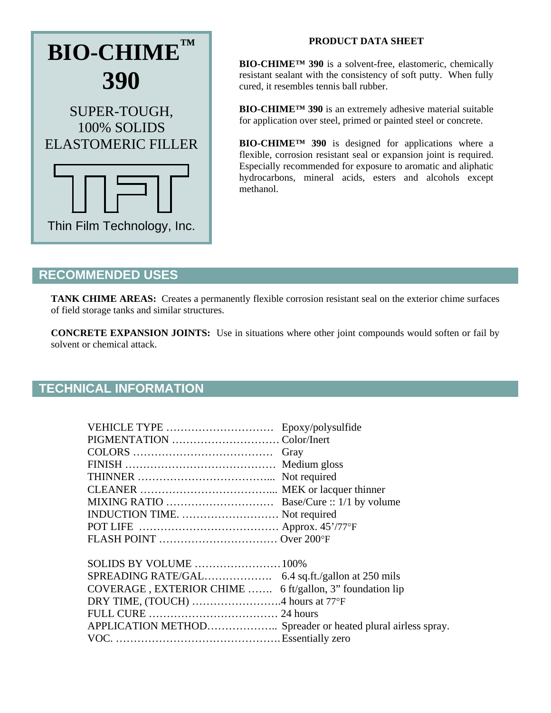

## **PRODUCT DATA SHEET**

**BIO-CHIME™ 390** is a solvent-free, elastomeric, chemically resistant sealant with the consistency of soft putty. When fully cured, it resembles tennis ball rubber.

**BIO-CHIME™ 390** is an extremely adhesive material suitable for application over steel, primed or painted steel or concrete.

**BIO-CHIME™ 390** is designed for applications where a flexible, corrosion resistant seal or expansion joint is required. Especially recommended for exposure to aromatic and aliphatic hydrocarbons, mineral acids, esters and alcohols except methanol.

## **RECOMMENDED USES**

**TANK CHIME AREAS:** Creates a permanently flexible corrosion resistant seal on the exterior chime surfaces of field storage tanks and similar structures.

**CONCRETE EXPANSION JOINTS:** Use in situations where other joint compounds would soften or fail by solvent or chemical attack.

## **TECHNICAL INFORMATION**

| VEHICLE TYPE  Epoxy/polysulfide                             |  |
|-------------------------------------------------------------|--|
|                                                             |  |
|                                                             |  |
|                                                             |  |
|                                                             |  |
|                                                             |  |
|                                                             |  |
| INDUCTION TIME.  Not required                               |  |
|                                                             |  |
|                                                             |  |
|                                                             |  |
|                                                             |  |
|                                                             |  |
| COVERAGE, EXTERIOR CHIME  6 ft/gallon, 3" foundation lip    |  |
| DRY TIME, (TOUCH) 4 hours at 77°F                           |  |
|                                                             |  |
| APPLICATION METHOD Spreader or heated plural airless spray. |  |
|                                                             |  |
|                                                             |  |